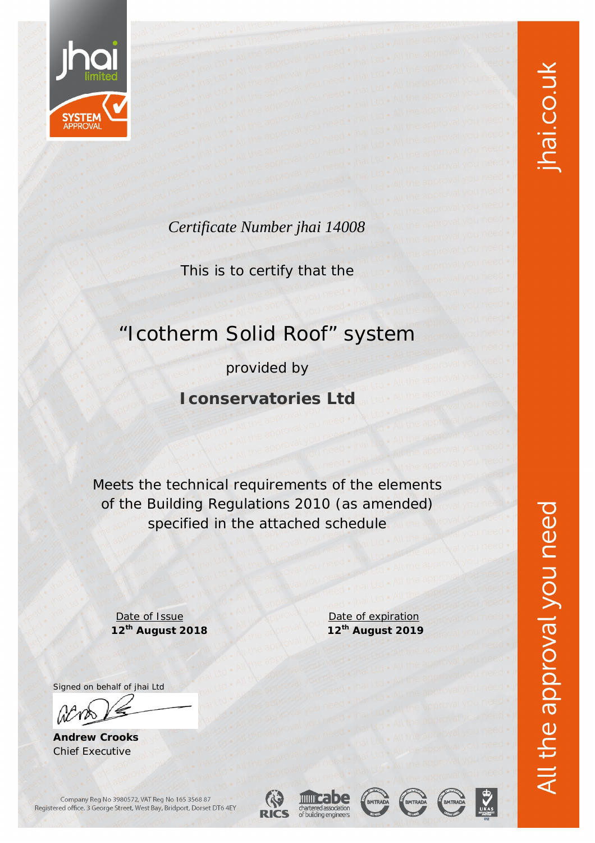

### *Certificate Number jhai 14008*

This is to certify that the

## "Icotherm Solid Roof" system

provided by

**Iconservatories Ltd**

Meets the technical requirements of the elements of the Building Regulations 2010 (as amended) specified in the attached schedule

Date of Issue Date of expiration

Signed on behalf of jhai Ltd

W

**Andrew Crooks** Chief Executive

Company Reg No 3980572, VAT Reg No 165 3568 87

**12th August 2018 12th August 2019**



















Registered office. 3 George Street, West Bay, Bridport, Dorset DT6 4EY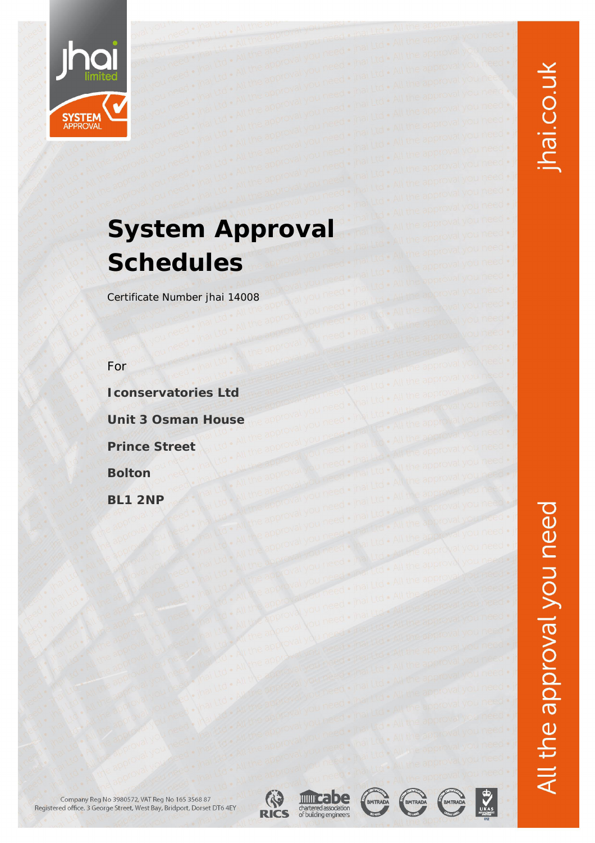

## **System Approval Schedules**

*Certificate Number jhai 14008*

*For* 

**Iconservatories Ltd**

**Unit 3 Osman House**

**Prince Street**

**Bolton**

**BL1 2NP**

Company Reg No 3980572, VAT Reg No 165 3568 87<br>Registered office. 3 George Street, West Bay, Bridport, Dorset DT6 4EY





BMTRADA





 $\sum_{\text{UKAS}}$ 

jhai.co.uk

All the approval you need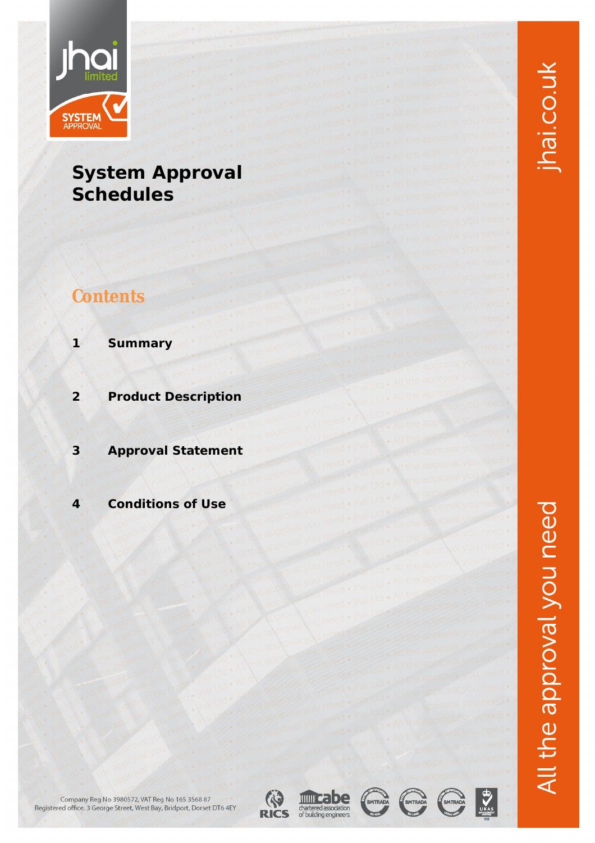

## **System Approval Schedules**

## **Contents**

- **1 Summary**
- **2 Product Description**
- **3 Approval Statement**
- **4 Conditions of Use**













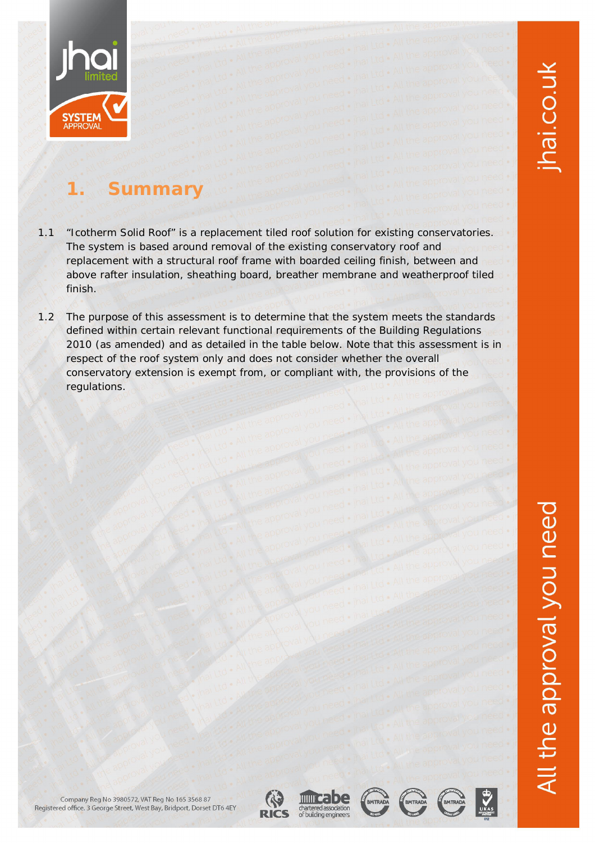

## **1. Summary**

- 1.1 "Icotherm Solid Roof" is a replacement tiled roof solution for existing conservatories. The system is based around removal of the existing conservatory roof and replacement with a structural roof frame with boarded ceiling finish, between and above rafter insulation, sheathing board, breather membrane and weatherproof tiled finish.
- 1.2 The purpose of this assessment is to determine that the system meets the standards defined within certain relevant functional requirements of the Building Regulations 2010 (as amended) and as detailed in the table below. Note that this assessment is in respect of the roof system only and does not consider whether the overall conservatory extension is exempt from, or compliant with, the provisions of the regulations.











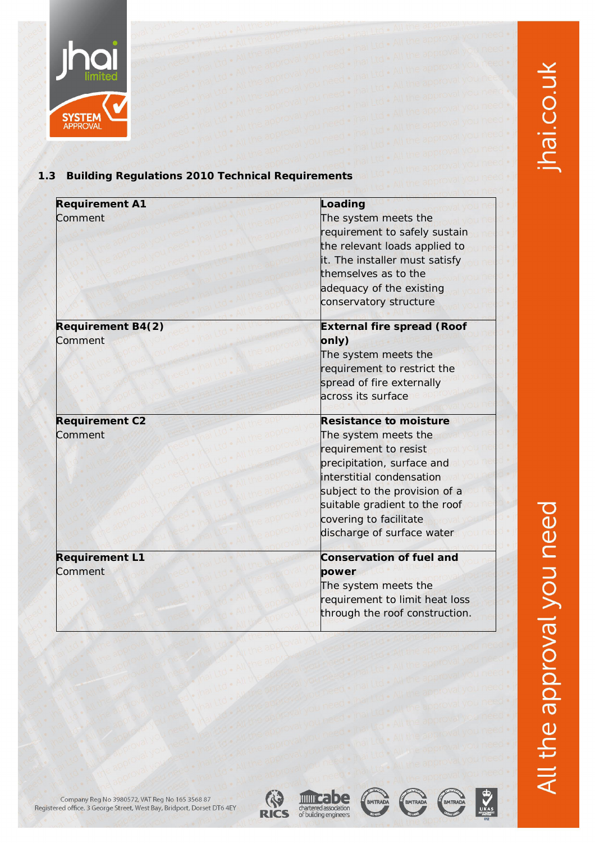

## **SYSTEM**

#### **1.3 Building Regulations 2010 Technical Requirements**

| <b>Requirement A1</b><br>Comment    | Loading<br>The system meets the<br>requirement to safely sustain<br>the relevant loads applied to<br>it. The installer must satisfy<br>themselves as to the<br>adequacy of the existing<br>conservatory structure                                                   |
|-------------------------------------|---------------------------------------------------------------------------------------------------------------------------------------------------------------------------------------------------------------------------------------------------------------------|
| <b>Requirement B4(2)</b><br>Comment | <b>External fire spread (Roof</b><br>only)<br>The system meets the<br>requirement to restrict the<br>spread of fire externally<br>across its surface                                                                                                                |
| <b>Requirement C2</b><br>Comment    | <b>Resistance to moisture</b><br>The system meets the<br>requirement to resist<br>precipitation, surface and<br>interstitial condensation<br>subject to the provision of a<br>suitable gradient to the roof<br>covering to facilitate<br>discharge of surface water |
| <b>Requirement L1</b><br>Comment    | <b>Conservation of fuel and</b><br>power<br>The system meets the<br>requirement to limit heat loss<br>through the roof construction.                                                                                                                                |





BMTRADA





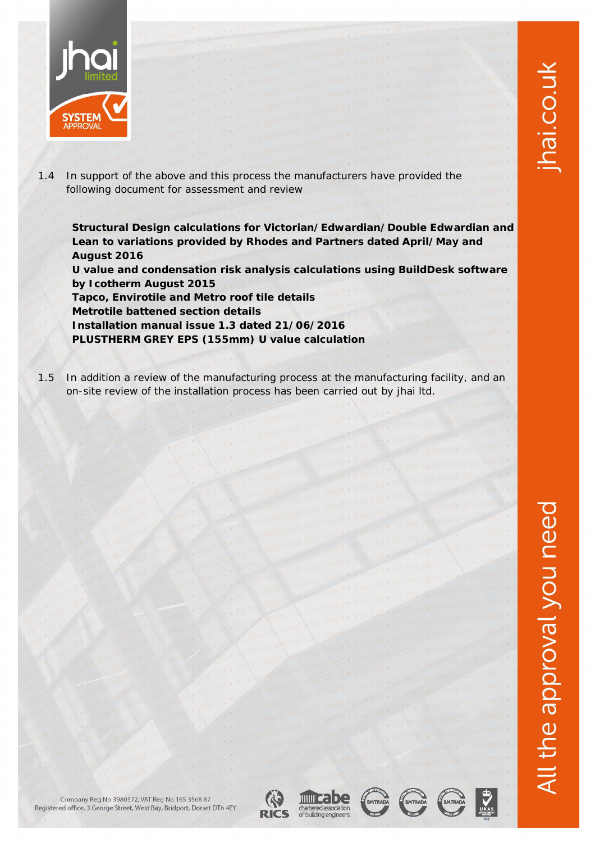

1.4 In support of the above and this process the manufacturers have provided the following document for assessment and review

**Structural Design calculations for Victorian/Edwardian/Double Edwardian and Lean to variations provided by Rhodes and Partners dated April/May and August 2016**

**U value and condensation risk analysis calculations using BuildDesk software by Icotherm August 2015**

**Tapco, Envirotile and Metro roof tile details Metrotile battened section details Installation manual issue 1.3 dated 21/06/2016 PLUSTHERM GREY EPS (155mm) U value calculation**

1.5 In addition a review of the manufacturing process at the manufacturing facility, and an on-site review of the installation process has been carried out by jhai ltd.









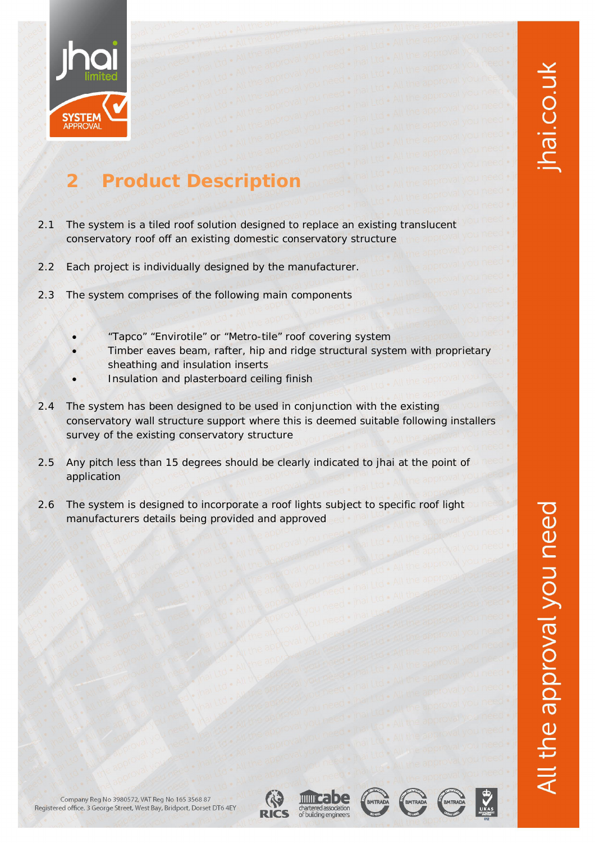

# hai.co.uk

## **2 Product Description**

- 2.1 The system is a tiled roof solution designed to replace an existing translucent conservatory roof off an existing domestic conservatory structure
- 2.2 Each project is individually designed by the manufacturer.
- 2.3 The system comprises of the following main components
	- "Tapco" "Envirotile" or "Metro-tile" roof covering system
	- Timber eaves beam, rafter, hip and ridge structural system with proprietary sheathing and insulation inserts
	- Insulation and plasterboard ceiling finish
- 2.4 The system has been designed to be used in conjunction with the existing conservatory wall structure support where this is deemed suitable following installers survey of the existing conservatory structure
- 2.5 Any pitch less than 15 degrees should be clearly indicated to jhai at the point of application
- 2.6 The system is designed to incorporate a roof lights subject to specific roof light manufacturers details being provided and approved













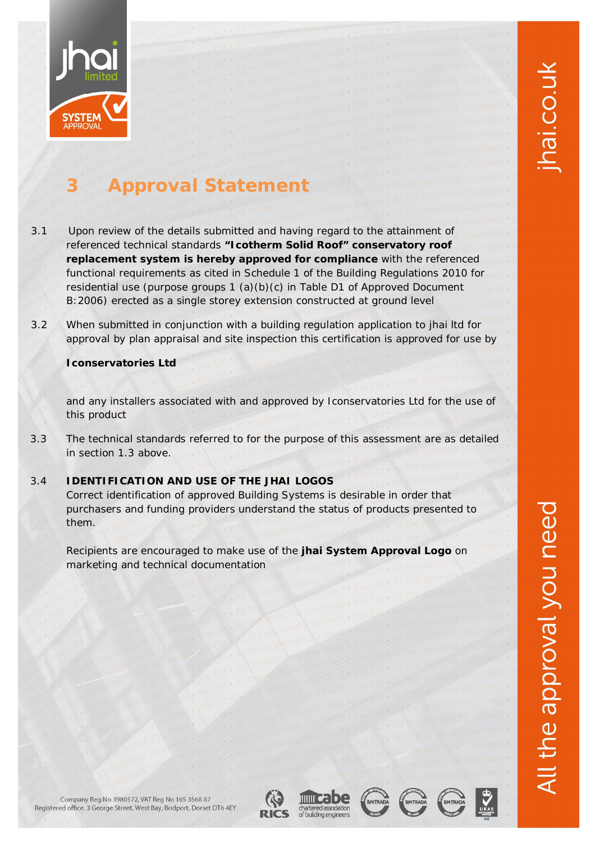

## **3 Approval Statement**

- 3.1 Upon review of the details submitted and having regard to the attainment of referenced technical standards **"Icotherm Solid Roof" conservatory roof replacement system is hereby approved for compliance** with the referenced functional requirements as cited in Schedule 1 of the Building Regulations 2010 for residential use (purpose groups 1 (a)(b)(c) in Table D1 of Approved Document B:2006) erected as a single storey extension constructed at ground level
- 3.2 When submitted in conjunction with a building regulation application to jhai ltd for approval by plan appraisal and site inspection this certification is approved for use by

#### **Iconservatories Ltd**

and any installers associated with and approved by Iconservatories Ltd for the use of this product

3.3 The technical standards referred to for the purpose of this assessment are as detailed in section 1.3 above.

#### 3.4 **IDENTIFICATION AND USE OF THE JHAI LOGOS**

Correct identification of approved Building Systems is desirable in order that purchasers and funding providers understand the status of products presented to them.

Recipients are encouraged to make use of the **jhai System Approval Logo** on marketing and technical documentation

the approval you need













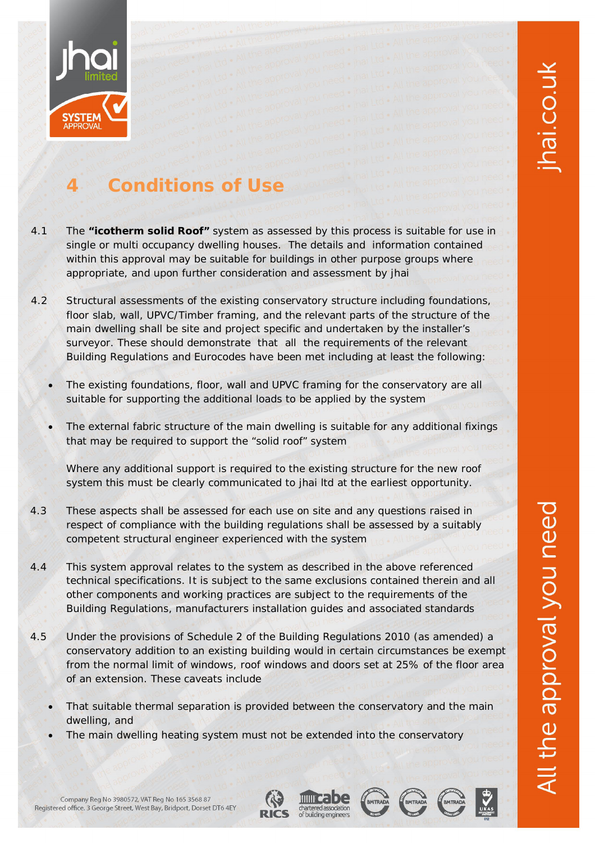

## **4 Conditions of Use**

- 4.1 The **"icotherm solid Roof"** system as assessed by this process is suitable for use in single or multi occupancy dwelling houses. The details and information contained within this approval may be suitable for buildings in other purpose groups where appropriate, and upon further consideration and assessment by jhai
- 4.2 Structural assessments of the existing conservatory structure including foundations, floor slab, wall, UPVC/Timber framing, and the relevant parts of the structure of the main dwelling shall be site and project specific and undertaken by the installer's surveyor. These should demonstrate that all the requirements of the relevant Building Regulations and Eurocodes have been met including at least the following:
	- The existing foundations, floor, wall and UPVC framing for the conservatory are all suitable for supporting the additional loads to be applied by the system
	- The external fabric structure of the main dwelling is suitable for any additional fixings that may be required to support the "solid roof" system

Where any additional support is required to the existing structure for the new roof system this must be clearly communicated to jhai ltd at the earliest opportunity.

- 4.3 These aspects shall be assessed for each use on site and any questions raised in respect of compliance with the building regulations shall be assessed by a suitably competent structural engineer experienced with the system
- 4.4 This system approval relates to the system as described in the above referenced technical specifications. It is subject to the same exclusions contained therein and all other components and working practices are subject to the requirements of the Building Regulations, manufacturers installation guides and associated standards
- 4.5 Under the provisions of Schedule 2 of the Building Regulations 2010 (as amended) a conservatory addition to an existing building would in certain circumstances be exempt from the normal limit of windows, roof windows and doors set at 25% of the floor area of an extension. These caveats include
	- That suitable thermal separation is provided between the conservatory and the main dwelling, and
	- The main dwelling heating system must not be extended into the conservatory









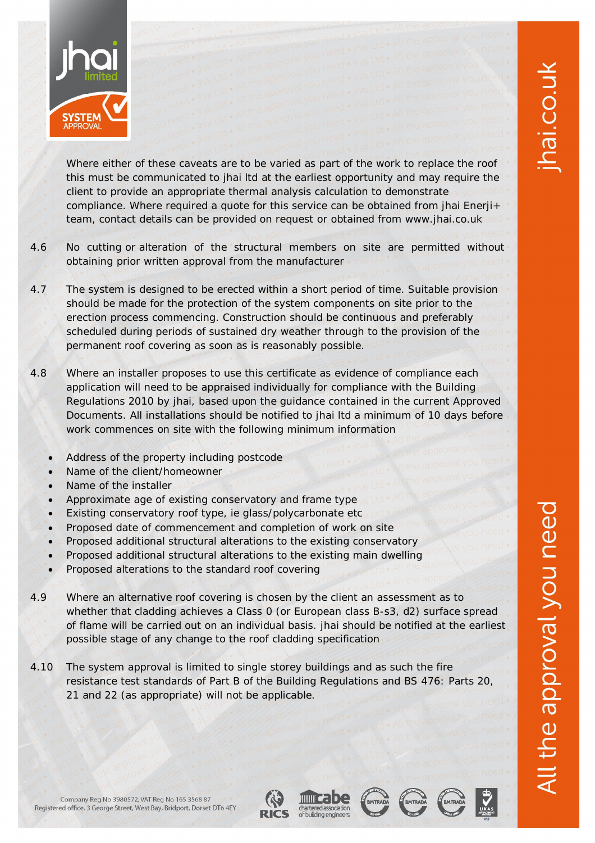

Where either of these caveats are to be varied as part of the work to replace the roof this must be communicated to jhai ltd at the earliest opportunity and may require the client to provide an appropriate thermal analysis calculation to demonstrate compliance. Where required a quote for this service can be obtained from jhai Enerji+ team, contact details can be provided on request or obtained from [www.jhai.co.uk](http://www.jhai.co.uk)

- 4.6 No cutting or alteration of the structural members on site are permitted without obtaining prior written approval from the manufacturer
- 4.7 The system is designed to be erected within a short period of time. Suitable provision should be made for the protection of the system components on site prior to the erection process commencing. Construction should be continuous and preferably scheduled during periods of sustained dry weather through to the provision of the permanent roof covering as soon as is reasonably possible.
- 4.8 Where an installer proposes to use this certificate as evidence of compliance each application will need to be appraised individually for compliance with the Building Regulations 2010 by jhai, based upon the guidance contained in the current Approved Documents. All installations should be notified to jhai ltd a minimum of 10 days before work commences on site with the following minimum information
	- Address of the property including postcode
	- Name of the client/homeowner
	- Name of the installer
	- Approximate age of existing conservatory and frame type
	- Existing conservatory roof type, ie glass/polycarbonate etc
	- Proposed date of commencement and completion of work on site
	- Proposed additional structural alterations to the existing conservatory
	- Proposed additional structural alterations to the existing main dwelling
	- Proposed alterations to the standard roof covering
- 4.9 Where an alternative roof covering is chosen by the client an assessment as to whether that cladding achieves a Class 0 (or European class B-s3, d2) surface spread of flame will be carried out on an individual basis. jhai should be notified at the earliest possible stage of any change to the roof cladding specification
- 4.10 The system approval is limited to single storey buildings and as such the fire resistance test standards of Part B of the Building Regulations and BS 476: Parts 20, 21 and 22 (as appropriate) will not be applicable.